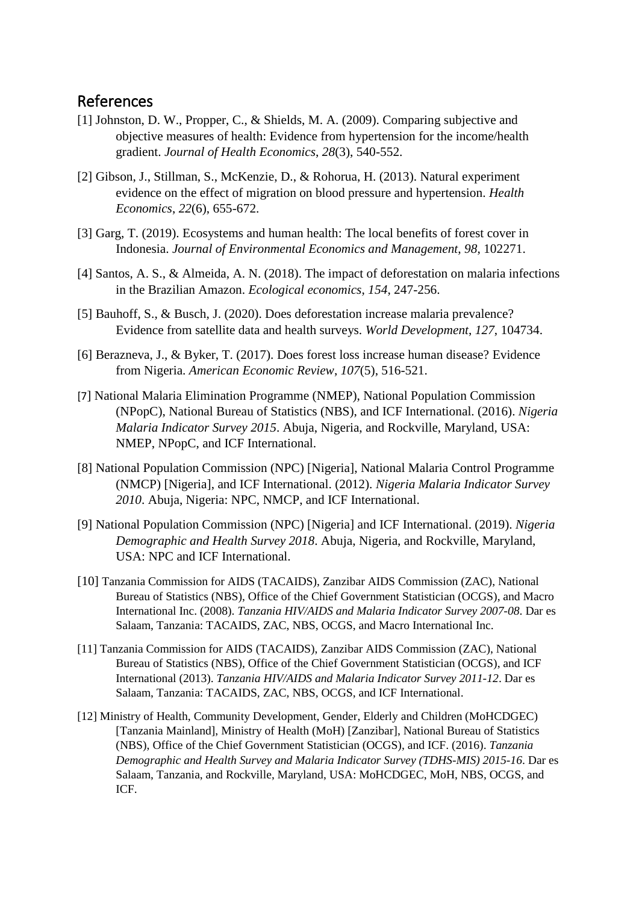## References

- [1] Johnston, D. W., Propper, C., & Shields, M. A. (2009). Comparing subjective and objective measures of health: Evidence from hypertension for the income/health gradient. *Journal of Health Economics*, *28*(3), 540-552.
- [2] Gibson, J., Stillman, S., McKenzie, D., & Rohorua, H. (2013). Natural experiment evidence on the effect of migration on blood pressure and hypertension. *Health Economics*, *22*(6), 655-672.
- [3] Garg, T. (2019). Ecosystems and human health: The local benefits of forest cover in Indonesia. *Journal of Environmental Economics and Management*, *98*, 102271.
- [4] Santos, A. S., & Almeida, A. N. (2018). The impact of deforestation on malaria infections in the Brazilian Amazon. *Ecological economics*, *154*, 247-256.
- [5] Bauhoff, S., & Busch, J. (2020). Does deforestation increase malaria prevalence? Evidence from satellite data and health surveys. *World Development*, *127*, 104734.
- [6] Berazneva, J., & Byker, T. (2017). Does forest loss increase human disease? Evidence from Nigeria. *American Economic Review*, *107*(5), 516-521.
- [7] National Malaria Elimination Programme (NMEP), National Population Commission (NPopC), National Bureau of Statistics (NBS), and ICF International. (2016). *Nigeria Malaria Indicator Survey 2015*. Abuja, Nigeria, and Rockville, Maryland, USA: NMEP, NPopC, and ICF International.
- [8] National Population Commission (NPC) [Nigeria], National Malaria Control Programme (NMCP) [Nigeria], and ICF International. (2012). *Nigeria Malaria Indicator Survey 2010*. Abuja, Nigeria: NPC, NMCP, and ICF International.
- [9] National Population Commission (NPC) [Nigeria] and ICF International. (2019). *Nigeria Demographic and Health Survey 2018*. Abuja, Nigeria, and Rockville, Maryland, USA: NPC and ICF International.
- [10] Tanzania Commission for AIDS (TACAIDS), Zanzibar AIDS Commission (ZAC), National Bureau of Statistics (NBS), Office of the Chief Government Statistician (OCGS), and Macro International Inc. (2008). *Tanzania HIV/AIDS and Malaria Indicator Survey 2007-08*. Dar es Salaam, Tanzania: TACAIDS, ZAC, NBS, OCGS, and Macro International Inc.
- [11] Tanzania Commission for AIDS (TACAIDS), Zanzibar AIDS Commission (ZAC), National Bureau of Statistics (NBS), Office of the Chief Government Statistician (OCGS), and ICF International (2013). *Tanzania HIV/AIDS and Malaria Indicator Survey 2011-12*. Dar es Salaam, Tanzania: TACAIDS, ZAC, NBS, OCGS, and ICF International.
- [12] Ministry of Health, Community Development, Gender, Elderly and Children (MoHCDGEC) [Tanzania Mainland], Ministry of Health (MoH) [Zanzibar], National Bureau of Statistics (NBS), Office of the Chief Government Statistician (OCGS), and ICF. (2016). *Tanzania Demographic and Health Survey and Malaria Indicator Survey (TDHS-MIS) 2015-16*. Dar es Salaam, Tanzania, and Rockville, Maryland, USA: MoHCDGEC, MoH, NBS, OCGS, and ICF.